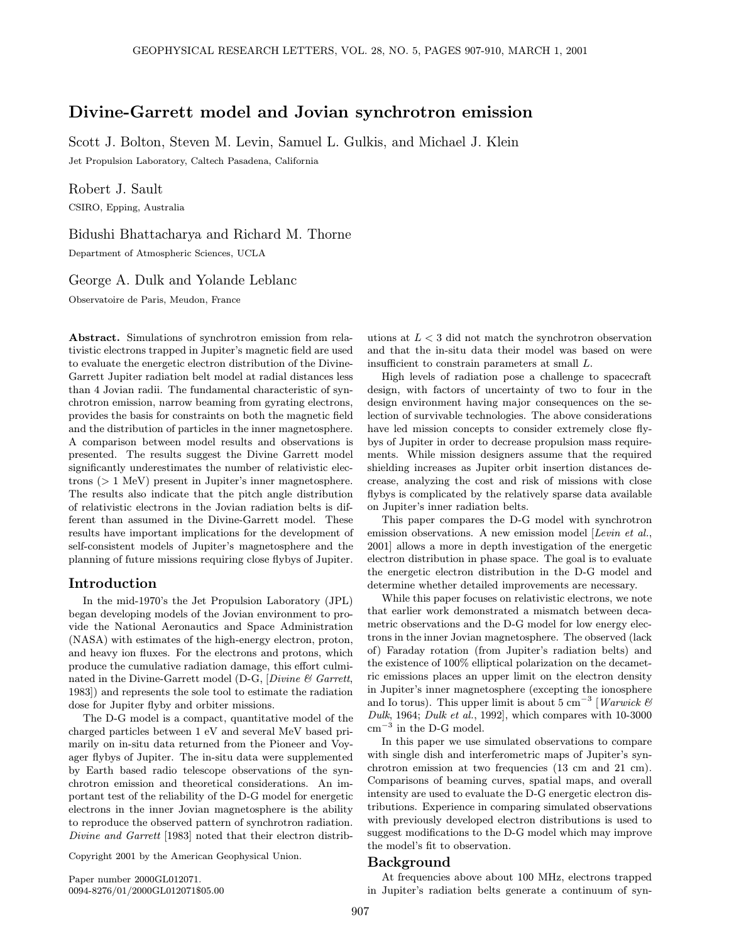# Divine-Garrett model and Jovian synchrotron emission

Scott J. Bolton, Steven M. Levin, Samuel L. Gulkis, and Michael J. Klein

Jet Propulsion Laboratory, Caltech Pasadena, California

Robert J. Sault CSIRO, Epping, Australia

Bidushi Bhattacharya and Richard M. Thorne

Department of Atmospheric Sciences, UCLA

## George A. Dulk and Yolande Leblanc

Observatoire de Paris, Meudon, France

Abstract. Simulations of synchrotron emission from relativistic electrons trapped in Jupiter's magnetic field are used to evaluate the energetic electron distribution of the Divine-Garrett Jupiter radiation belt model at radial distances less than 4 Jovian radii. The fundamental characteristic of synchrotron emission, narrow beaming from gyrating electrons, provides the basis for constraints on both the magnetic field and the distribution of particles in the inner magnetosphere. A comparison between model results and observations is presented. The results suggest the Divine Garrett model significantly underestimates the number of relativistic electrons (> 1 MeV) present in Jupiter's inner magnetosphere. The results also indicate that the pitch angle distribution of relativistic electrons in the Jovian radiation belts is different than assumed in the Divine-Garrett model. These results have important implications for the development of self-consistent models of Jupiter's magnetosphere and the planning of future missions requiring close flybys of Jupiter.

# Introduction

In the mid-1970's the Jet Propulsion Laboratory (JPL) began developing models of the Jovian environment to provide the National Aeronautics and Space Administration (NASA) with estimates of the high-energy electron, proton, and heavy ion fluxes. For the electrons and protons, which produce the cumulative radiation damage, this effort culminated in the Divine-Garrett model (D-G, [Divine  $\mathcal C$  Garrett, 1983]) and represents the sole tool to estimate the radiation dose for Jupiter flyby and orbiter missions.

The D-G model is a compact, quantitative model of the charged particles between 1 eV and several MeV based primarily on in-situ data returned from the Pioneer and Voyager flybys of Jupiter. The in-situ data were supplemented by Earth based radio telescope observations of the synchrotron emission and theoretical considerations. An important test of the reliability of the D-G model for energetic electrons in the inner Jovian magnetosphere is the ability to reproduce the observed pattern of synchrotron radiation. Divine and Garrett [1983] noted that their electron distrib-

Copyright 2001 by the American Geophysical Union.

Paper number 2000GL012071. 0094-8276/01/2000GL012071\$05.00 utions at  $L < 3$  did not match the synchrotron observation and that the in-situ data their model was based on were insufficient to constrain parameters at small L.

High levels of radiation pose a challenge to spacecraft design, with factors of uncertainty of two to four in the design environment having major consequences on the selection of survivable technologies. The above considerations have led mission concepts to consider extremely close flybys of Jupiter in order to decrease propulsion mass requirements. While mission designers assume that the required shielding increases as Jupiter orbit insertion distances decrease, analyzing the cost and risk of missions with close flybys is complicated by the relatively sparse data available on Jupiter's inner radiation belts.

This paper compares the D-G model with synchrotron emission observations. A new emission model [Levin et al., 2001] allows a more in depth investigation of the energetic electron distribution in phase space. The goal is to evaluate the energetic electron distribution in the D-G model and determine whether detailed improvements are necessary.

While this paper focuses on relativistic electrons, we note that earlier work demonstrated a mismatch between decametric observations and the D-G model for low energy electrons in the inner Jovian magnetosphere. The observed (lack of) Faraday rotation (from Jupiter's radiation belts) and the existence of 100% elliptical polarization on the decametric emissions places an upper limit on the electron density in Jupiter's inner magnetosphere (excepting the ionosphere and Io torus). This upper limit is about 5 cm<sup>-3</sup> [Warwick & Dulk, 1964; Dulk et al., 1992], which compares with 10-3000  $\mathrm{cm}^{-3}$  in the D-G model.

In this paper we use simulated observations to compare with single dish and interferometric maps of Jupiter's synchrotron emission at two frequencies (13 cm and 21 cm). Comparisons of beaming curves, spatial maps, and overall intensity are used to evaluate the D-G energetic electron distributions. Experience in comparing simulated observations with previously developed electron distributions is used to suggest modifications to the D-G model which may improve the model's fit to observation.

### Background

At frequencies above about 100 MHz, electrons trapped in Jupiter's radiation belts generate a continuum of syn-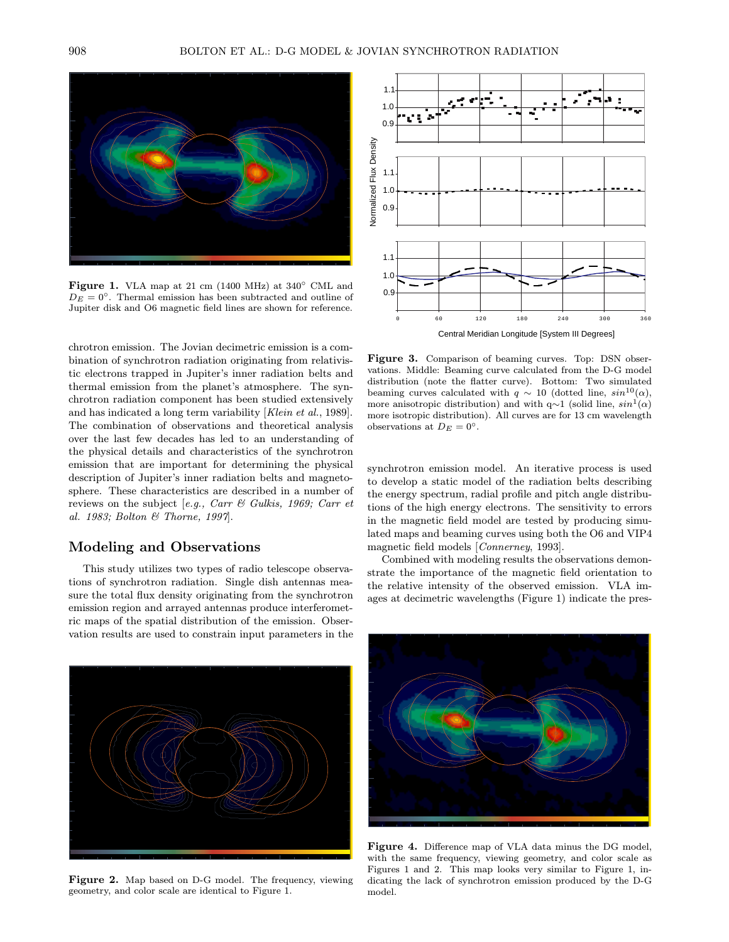

Figure 1. VLA map at 21 cm (1400 MHz) at 340◦ CML and  $D_E = 0^\circ$ . Thermal emission has been subtracted and outline of Jupiter disk and O6 magnetic field lines are shown for reference.

chrotron emission. The Jovian decimetric emission is a combination of synchrotron radiation originating from relativistic electrons trapped in Jupiter's inner radiation belts and thermal emission from the planet's atmosphere. The synchrotron radiation component has been studied extensively and has indicated a long term variability [Klein et al., 1989]. The combination of observations and theoretical analysis over the last few decades has led to an understanding of the physical details and characteristics of the synchrotron emission that are important for determining the physical description of Jupiter's inner radiation belts and magnetosphere. These characteristics are described in a number of reviews on the subject [e.g., Carr & Gulkis, 1969; Carr et al. 1983; Bolton & Thorne, 1997].

## Modeling and Observations

This study utilizes two types of radio telescope observations of synchrotron radiation. Single dish antennas measure the total flux density originating from the synchrotron emission region and arrayed antennas produce interferometric maps of the spatial distribution of the emission. Observation results are used to constrain input parameters in the



Figure 3. Comparison of beaming curves. Top: DSN observations. Middle: Beaming curve calculated from the D-G model distribution (note the flatter curve). Bottom: Two simulated beaming curves calculated with  $q \sim 10$  (dotted line,  $sin^{10}(\alpha)$ , more anisotropic distribution) and with q∼1 (solid line,  $sin<sup>1</sup>(α)$ more isotropic distribution). All curves are for 13 cm wavelength observations at  $D_E = 0^\circ$ .

synchrotron emission model. An iterative process is used to develop a static model of the radiation belts describing the energy spectrum, radial profile and pitch angle distributions of the high energy electrons. The sensitivity to errors in the magnetic field model are tested by producing simulated maps and beaming curves using both the O6 and VIP4 magnetic field models [Connerney, 1993].

Combined with modeling results the observations demonstrate the importance of the magnetic field orientation to the relative intensity of the observed emission. VLA images at decimetric wavelengths (Figure 1) indicate the pres-



Figure 2. Map based on D-G model. The frequency, viewing geometry, and color scale are identical to Figure 1.



Figure 4. Difference map of VLA data minus the DG model, with the same frequency, viewing geometry, and color scale as Figures 1 and 2. This map looks very similar to Figure 1, indicating the lack of synchrotron emission produced by the D-G model.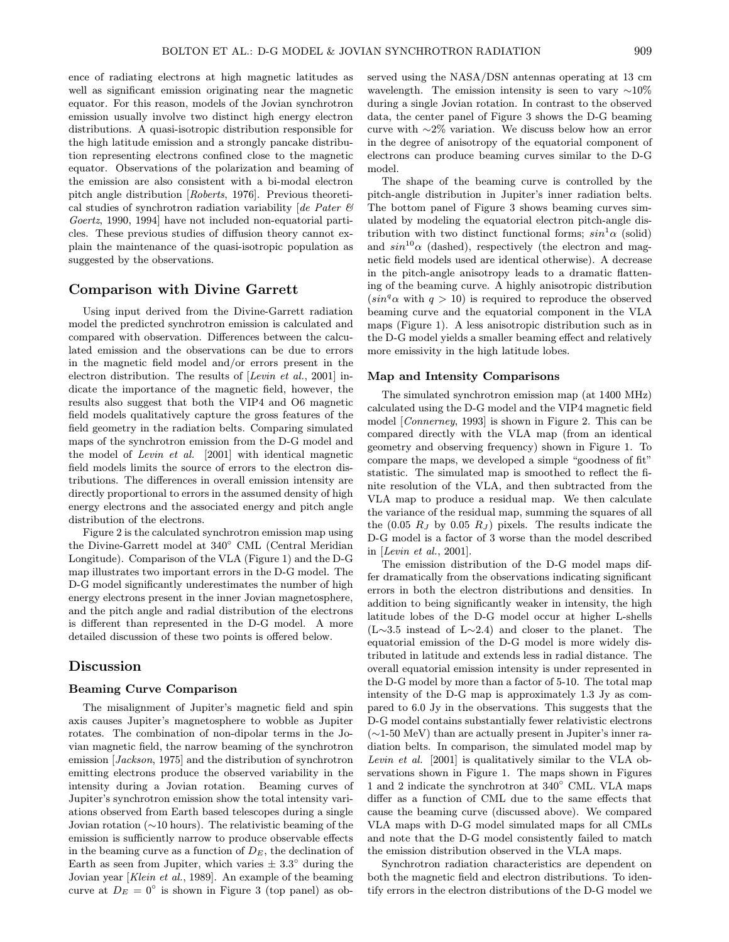ence of radiating electrons at high magnetic latitudes as well as significant emission originating near the magnetic equator. For this reason, models of the Jovian synchrotron emission usually involve two distinct high energy electron distributions. A quasi-isotropic distribution responsible for the high latitude emission and a strongly pancake distribution representing electrons confined close to the magnetic equator. Observations of the polarization and beaming of the emission are also consistent with a bi-modal electron pitch angle distribution [Roberts, 1976]. Previous theoretical studies of synchrotron radiation variability [de Pater  $\mathcal C$ Goertz, 1990, 1994] have not included non-equatorial particles. These previous studies of diffusion theory cannot explain the maintenance of the quasi-isotropic population as suggested by the observations.

### Comparison with Divine Garrett

Using input derived from the Divine-Garrett radiation model the predicted synchrotron emission is calculated and compared with observation. Differences between the calculated emission and the observations can be due to errors in the magnetic field model and/or errors present in the electron distribution. The results of [Levin et al., 2001] indicate the importance of the magnetic field, however, the results also suggest that both the VIP4 and O6 magnetic field models qualitatively capture the gross features of the field geometry in the radiation belts. Comparing simulated maps of the synchrotron emission from the D-G model and the model of Levin et al. [2001] with identical magnetic field models limits the source of errors to the electron distributions. The differences in overall emission intensity are directly proportional to errors in the assumed density of high energy electrons and the associated energy and pitch angle distribution of the electrons.

Figure 2 is the calculated synchrotron emission map using the Divine-Garrett model at 340◦ CML (Central Meridian Longitude). Comparison of the VLA (Figure 1) and the D-G map illustrates two important errors in the D-G model. The D-G model significantly underestimates the number of high energy electrons present in the inner Jovian magnetosphere, and the pitch angle and radial distribution of the electrons is different than represented in the D-G model. A more detailed discussion of these two points is offered below.

# Discussion

### Beaming Curve Comparison

The misalignment of Jupiter's magnetic field and spin axis causes Jupiter's magnetosphere to wobble as Jupiter rotates. The combination of non-dipolar terms in the Jovian magnetic field, the narrow beaming of the synchrotron emission [Jackson, 1975] and the distribution of synchrotron emitting electrons produce the observed variability in the intensity during a Jovian rotation. Beaming curves of Jupiter's synchrotron emission show the total intensity variations observed from Earth based telescopes during a single Jovian rotation (∼10 hours). The relativistic beaming of the emission is sufficiently narrow to produce observable effects in the beaming curve as a function of  $D<sub>E</sub>$ , the declination of Earth as seen from Jupiter, which varies  $\pm 3.3^{\circ}$  during the Jovian year [Klein et al., 1989]. An example of the beaming curve at  $D_E = 0^\circ$  is shown in Figure 3 (top panel) as observed using the NASA/DSN antennas operating at 13 cm wavelength. The emission intensity is seen to vary  $~\sim 10\%$ during a single Jovian rotation. In contrast to the observed data, the center panel of Figure 3 shows the D-G beaming curve with ∼2% variation. We discuss below how an error in the degree of anisotropy of the equatorial component of electrons can produce beaming curves similar to the D-G model.

The shape of the beaming curve is controlled by the pitch-angle distribution in Jupiter's inner radiation belts. The bottom panel of Figure 3 shows beaming curves simulated by modeling the equatorial electron pitch-angle distribution with two distinct functional forms;  $sin^1\alpha$  (solid) and  $sin^{10}\alpha$  (dashed), respectively (the electron and magnetic field models used are identical otherwise). A decrease in the pitch-angle anisotropy leads to a dramatic flattening of the beaming curve. A highly anisotropic distribution  $(sin<sup>q</sup> \alpha$  with  $q > 10)$  is required to reproduce the observed beaming curve and the equatorial component in the VLA maps (Figure 1). A less anisotropic distribution such as in the D-G model yields a smaller beaming effect and relatively more emissivity in the high latitude lobes.

#### Map and Intensity Comparisons

The simulated synchrotron emission map (at 1400 MHz) calculated using the D-G model and the VIP4 magnetic field model [Connerney, 1993] is shown in Figure 2. This can be compared directly with the VLA map (from an identical geometry and observing frequency) shown in Figure 1. To compare the maps, we developed a simple "goodness of fit" statistic. The simulated map is smoothed to reflect the finite resolution of the VLA, and then subtracted from the VLA map to produce a residual map. We then calculate the variance of the residual map, summing the squares of all the (0.05  $R_J$  by 0.05  $R_J$ ) pixels. The results indicate the D-G model is a factor of 3 worse than the model described in [Levin et al., 2001].

The emission distribution of the D-G model maps differ dramatically from the observations indicating significant errors in both the electron distributions and densities. In addition to being significantly weaker in intensity, the high latitude lobes of the D-G model occur at higher L-shells (L∼3.5 instead of L∼2.4) and closer to the planet. The equatorial emission of the D-G model is more widely distributed in latitude and extends less in radial distance. The overall equatorial emission intensity is under represented in the D-G model by more than a factor of 5-10. The total map intensity of the D-G map is approximately 1.3 Jy as compared to 6.0 Jy in the observations. This suggests that the D-G model contains substantially fewer relativistic electrons (∼1-50 MeV) than are actually present in Jupiter's inner radiation belts. In comparison, the simulated model map by Levin et al. [2001] is qualitatively similar to the VLA observations shown in Figure 1. The maps shown in Figures 1 and 2 indicate the synchrotron at 340◦ CML. VLA maps differ as a function of CML due to the same effects that cause the beaming curve (discussed above). We compared VLA maps with D-G model simulated maps for all CMLs and note that the D-G model consistently failed to match the emission distribution observed in the VLA maps.

Synchrotron radiation characteristics are dependent on both the magnetic field and electron distributions. To identify errors in the electron distributions of the D-G model we